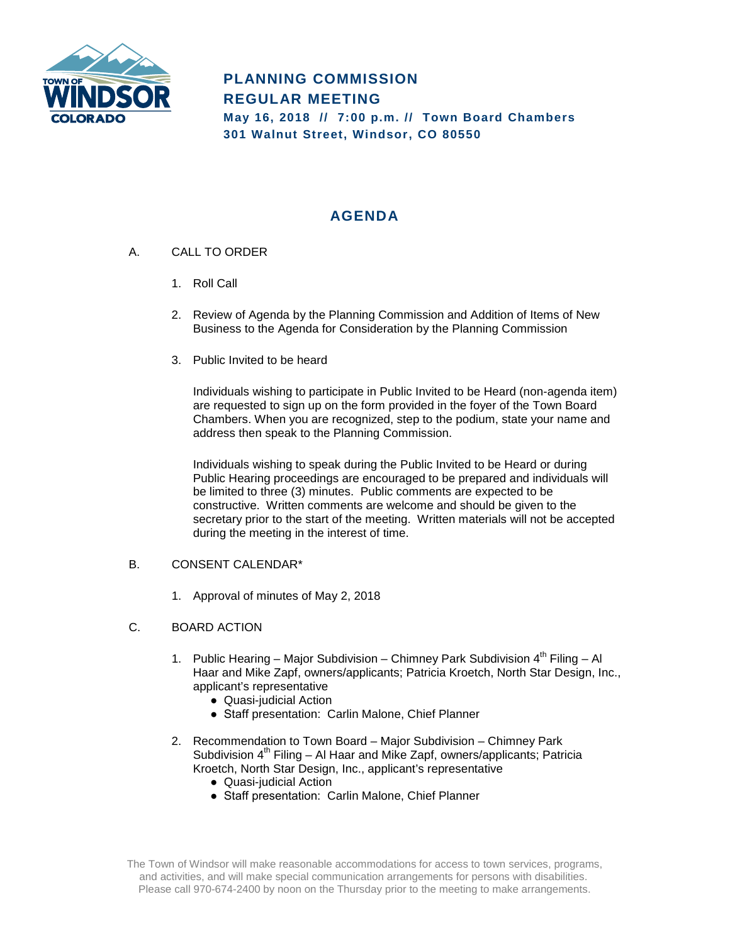

# **PLANNING COMMISSION REGULAR MEETING May 16, 2018 // 7:00 p.m. // Town Board Chambers 301 Walnut Street, Windsor, CO 80550**

# **AGENDA**

- A. CALL TO ORDER
	- 1. Roll Call
	- 2. Review of Agenda by the Planning Commission and Addition of Items of New Business to the Agenda for Consideration by the Planning Commission
	- 3. Public Invited to be heard

Individuals wishing to participate in Public Invited to be Heard (non-agenda item) are requested to sign up on the form provided in the foyer of the Town Board Chambers. When you are recognized, step to the podium, state your name and address then speak to the Planning Commission.

Individuals wishing to speak during the Public Invited to be Heard or during Public Hearing proceedings are encouraged to be prepared and individuals will be limited to three (3) minutes. Public comments are expected to be constructive. Written comments are welcome and should be given to the secretary prior to the start of the meeting. Written materials will not be accepted during the meeting in the interest of time.

### B. CONSENT CALENDAR\*

- 1. Approval of minutes of May 2, 2018
- C. BOARD ACTION
	- 1. Public Hearing Major Subdivision Chimney Park Subdivision  $4^{th}$  Filing Al Haar and Mike Zapf, owners/applicants; Patricia Kroetch, North Star Design, Inc., applicant's representative
		- Quasi-judicial Action
		- Staff presentation: Carlin Malone, Chief Planner
	- 2. Recommendation to Town Board Major Subdivision Chimney Park Subdivision  $4<sup>th</sup>$  Filing – Al Haar and Mike Zapf, owners/applicants; Patricia Kroetch, North Star Design, Inc., applicant's representative
		- Quasi-judicial Action
		- Staff presentation: Carlin Malone, Chief Planner

The Town of Windsor will make reasonable accommodations for access to town services, programs, and activities, and will make special communication arrangements for persons with disabilities. Please call 970-674-2400 by noon on the Thursday prior to the meeting to make arrangements.